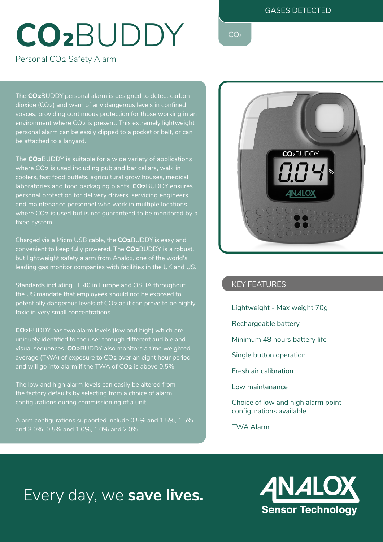### GASES DETECTED

# CO<sub>2</sub>BUDDY CO2

Personal CO2 Safety Alarm

The **CO2**BUDDY personal alarm is designed to detect carbon dioxide (CO2) and warn of any dangerous levels in confined spaces, providing continuous protection for those working in an environment where CO2 is present. This extremely lightweight personal alarm can be easily clipped to a pocket or belt, or can be attached to a lanyard.

The **CO2**BUDDY is suitable for a wide variety of applications where CO2 is used including pub and bar cellars, walk in coolers, fast food outlets, agricultural grow houses, medical laboratories and food packaging plants. **CO2**BUDDY ensures personal protection for delivery drivers, servicing engineers and maintenance personnel who work in multiple locations where CO2 is used but is not guaranteed to be monitored by a fixed system.

Charged via a Micro USB cable, the **CO2**BUDDY is easy and convenient to keep fully powered. The **CO2**BUDDY is a robust, but lightweight safety alarm from Analox, one of the world's leading gas monitor companies with facilities in the UK and US.

Standards including EH40 in Europe and OSHA throughout the US mandate that employees should not be exposed to potentially dangerous levels of CO2 as it can prove to be highly toxic in very small concentrations.

**CO2**BUDDY has two alarm levels (low and high) which are uniquely identified to the user through different audible and visual sequences. **CO2**BUDDY also monitors a time weighted average (TWA) of exposure to CO2 over an eight hour period and will go into alarm if the TWA of CO2 is above 0.5%.

The low and high alarm levels can easily be altered from the factory defaults by selecting from a choice of alarm configurations during commissioning of a unit.

Alarm configurations supported include 0.5% and 1.5%, 1.5% and 3.0%, 0.5% and 1.0%, 1.0% and 2.0%.



### KEY FEATURES

- Lightweight Max weight 70g
- Rechargeable battery
- Minimum 48 hours battery life
- Single button operation
- Fresh air calibration
- Low maintenance

Choice of low and high alarm point configurations available

TWA Alarm

## Every day, we **save lives.**